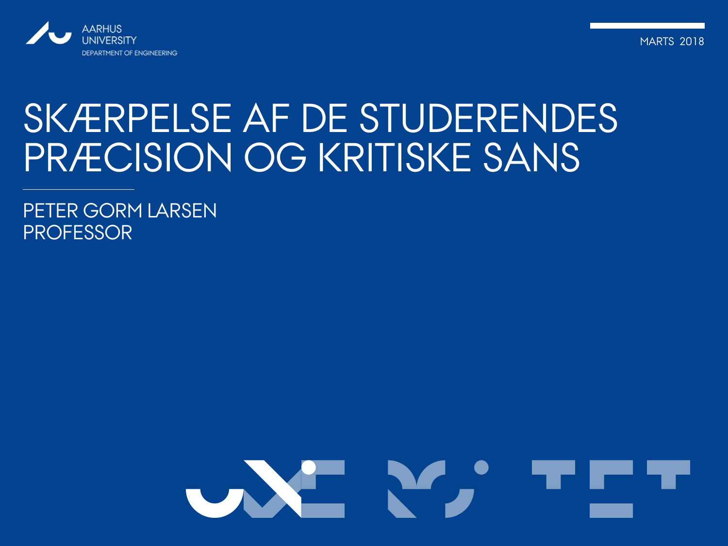

MARTS 2018

#### SKÆRPELSE AF DE STUDERENDES PRÆCISION OG KRITISKE SANS

PETER GORM LARSEN PROFESSOR

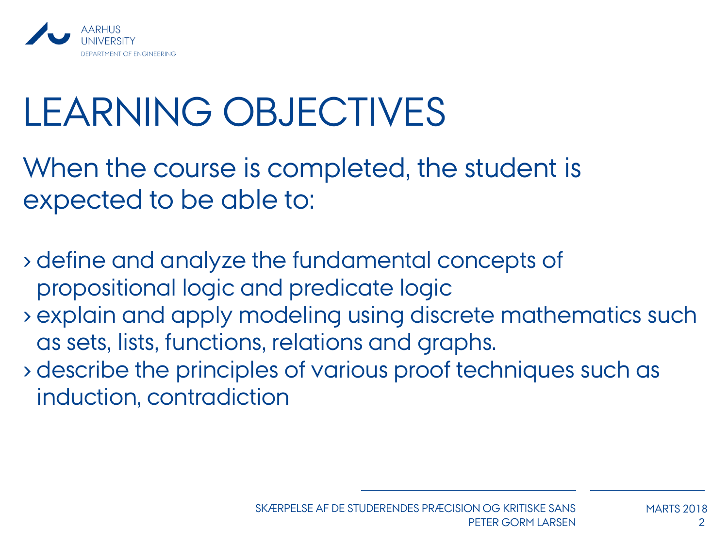

## LEARNING OBJECTIVES

When the course is completed, the student is expected to be able to:

› define and analyze the fundamental concepts of propositional logic and predicate logic

- › explain and apply modeling using discrete mathematics such as sets, lists, functions, relations and graphs.
- › describe the principles of various proof techniques such as induction, contradiction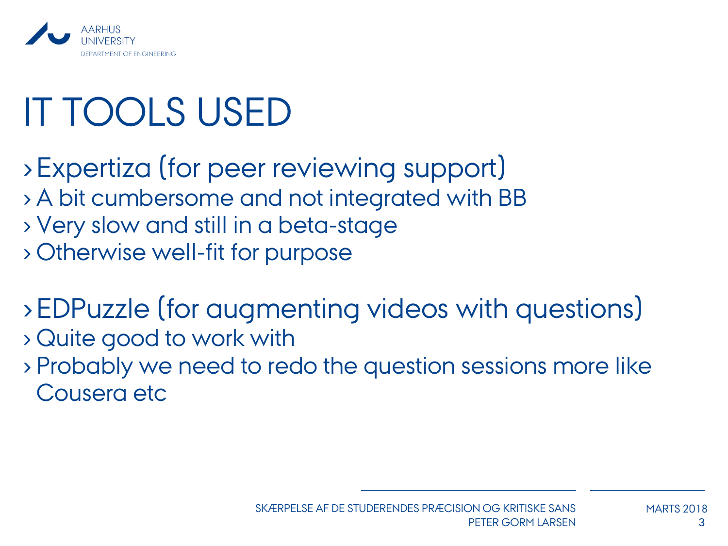

## IT TOOLS USED

- › Expertiza (for peer reviewing support) › A bit cumbersome and not integrated with BB › Very slow and still in a beta-stage › Otherwise well-fit for purpose
- › EDPuzzle (for augmenting videos with questions) › Quite good to work with
- › Probably we need to redo the question sessions more like Cousera etc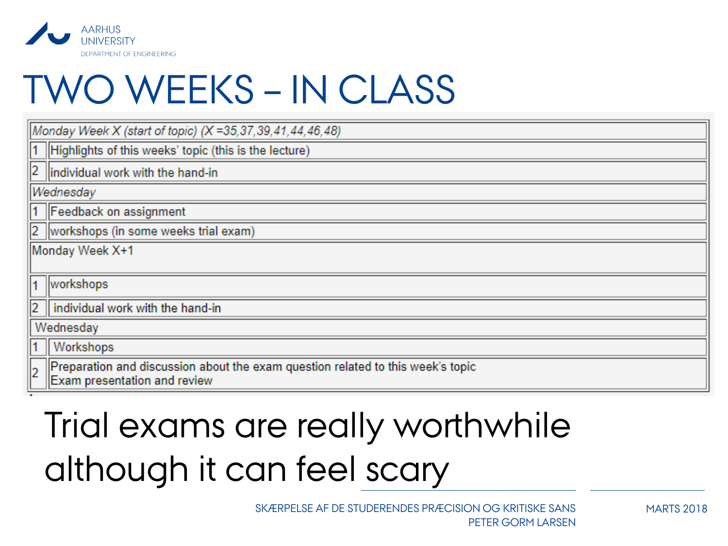

### TWO WEEKS – IN CLASS

| Monday Week X+1                                                                 |  |
|---------------------------------------------------------------------------------|--|
|                                                                                 |  |
|                                                                                 |  |
|                                                                                 |  |
| Wednesday                                                                       |  |
|                                                                                 |  |
| Preparation and discussion about the exam question related to this week's topic |  |
|                                                                                 |  |

#### Trial exams are really worthwhile although it can feel scary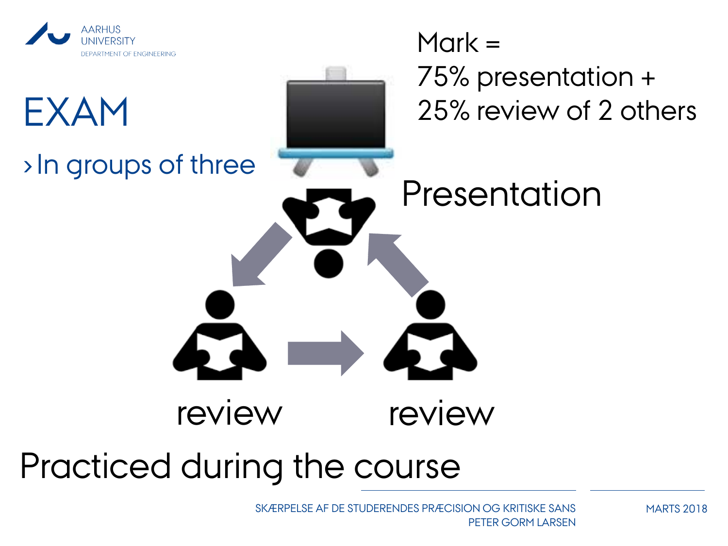

# $Mark =$ DEPARTMENT OF ENGINEERING 75% presentation + 25% review of 2 others EXAM ›In groups of three Presentation review review Practiced during the course